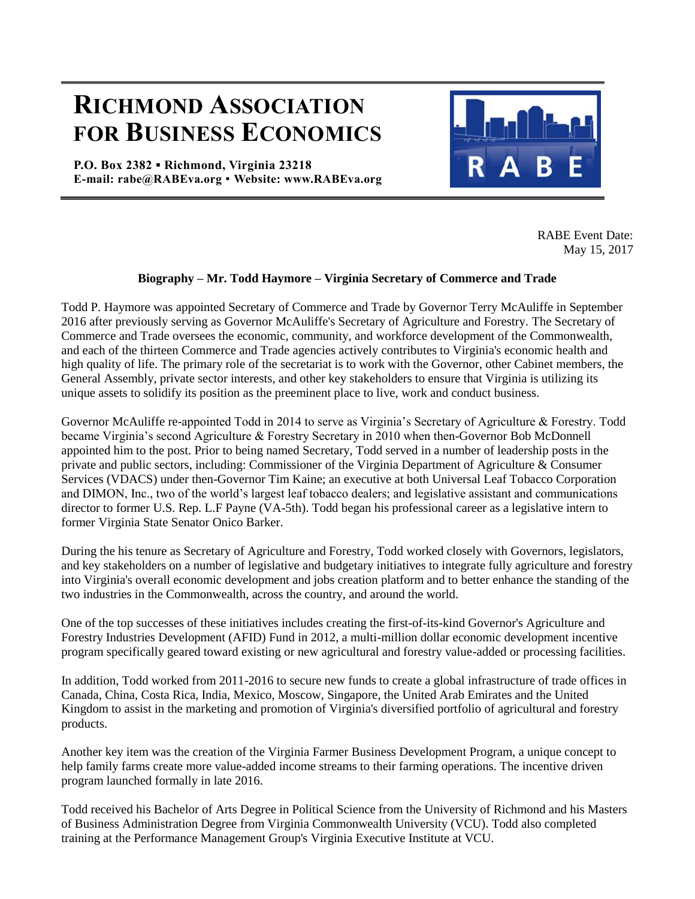## **RICHMOND ASSOCIATION FOR BUSINESS ECONOMICS**

**P.O. Box 2382 ▪ Richmond, Virginia 23218 E-mail: rabe@RABEva.org** ▪ **Website: www.RABEva.org**



RABE Event Date: May 15, 2017

## **Biography – Mr. Todd Haymore – Virginia Secretary of Commerce and Trade**

Todd P. Haymore was appointed Secretary of Commerce and Trade by Governor Terry McAuliffe in September 2016 after previously serving as Governor McAuliffe's Secretary of Agriculture and Forestry. The Secretary of Commerce and Trade oversees the economic, community, and workforce development of the Commonwealth, and each of the thirteen Commerce and Trade agencies actively contributes to Virginia's economic health and high quality of life. The primary role of the secretariat is to work with the Governor, other Cabinet members, the General Assembly, private sector interests, and other key stakeholders to ensure that Virginia is utilizing its unique assets to solidify its position as the preeminent place to live, work and conduct business.

Governor McAuliffe re-appointed Todd in 2014 to serve as Virginia's Secretary of Agriculture & Forestry. Todd became Virginia's second Agriculture & Forestry Secretary in 2010 when then-Governor Bob McDonnell appointed him to the post. Prior to being named Secretary, Todd served in a number of leadership posts in the private and public sectors, including: Commissioner of the Virginia Department of Agriculture & Consumer Services (VDACS) under then-Governor Tim Kaine; an executive at both Universal Leaf Tobacco Corporation and DIMON, Inc., two of the world's largest leaf tobacco dealers; and legislative assistant and communications director to former U.S. Rep. L.F Payne (VA-5th). Todd began his professional career as a legislative intern to former Virginia State Senator Onico Barker.

During the his tenure as Secretary of Agriculture and Forestry, Todd worked closely with Governors, legislators, and key stakeholders on a number of legislative and budgetary initiatives to integrate fully agriculture and forestry into Virginia's overall economic development and jobs creation platform and to better enhance the standing of the two industries in the Commonwealth, across the country, and around the world.

One of the top successes of these initiatives includes creating the first-of-its-kind Governor's Agriculture and Forestry Industries Development (AFID) Fund in 2012, a multi-million dollar economic development incentive program specifically geared toward existing or new agricultural and forestry value-added or processing facilities.

In addition, Todd worked from 2011-2016 to secure new funds to create a global infrastructure of trade offices in Canada, China, Costa Rica, India, Mexico, Moscow, Singapore, the United Arab Emirates and the United Kingdom to assist in the marketing and promotion of Virginia's diversified portfolio of agricultural and forestry products.

Another key item was the creation of the Virginia Farmer Business Development Program, a unique concept to help family farms create more value-added income streams to their farming operations. The incentive driven program launched formally in late 2016.

Todd received his Bachelor of Arts Degree in Political Science from the University of Richmond and his Masters of Business Administration Degree from Virginia Commonwealth University (VCU). Todd also completed training at the Performance Management Group's Virginia Executive Institute at VCU.